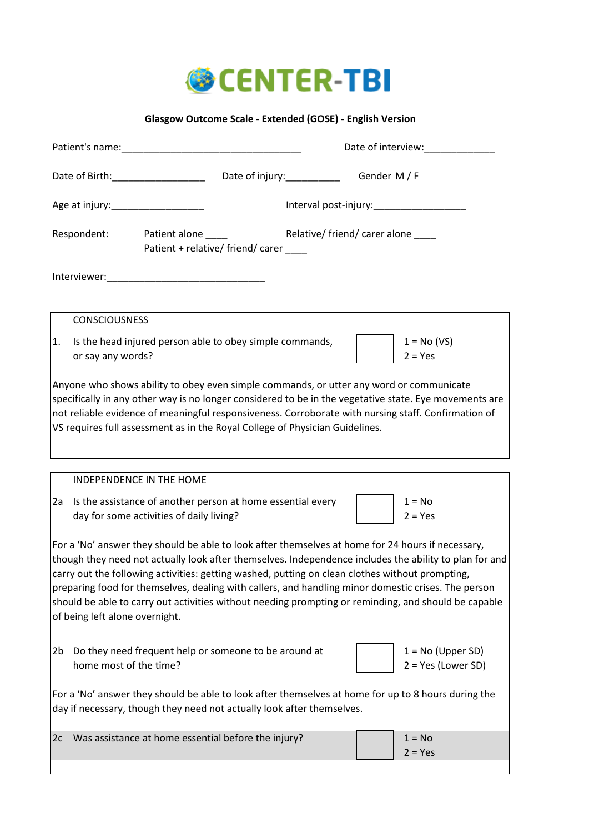

## **Glasgow Outcome Scale - Extended (GOSE) - English Version**

|                                                                                                                                                                                                                                                                                                                                                                                                                                                                                                                                                                 |                                                                                                                                                                                                                                                                                                                                                                                          |                                    | Date of interview:                          |  |
|-----------------------------------------------------------------------------------------------------------------------------------------------------------------------------------------------------------------------------------------------------------------------------------------------------------------------------------------------------------------------------------------------------------------------------------------------------------------------------------------------------------------------------------------------------------------|------------------------------------------------------------------------------------------------------------------------------------------------------------------------------------------------------------------------------------------------------------------------------------------------------------------------------------------------------------------------------------------|------------------------------------|---------------------------------------------|--|
|                                                                                                                                                                                                                                                                                                                                                                                                                                                                                                                                                                 |                                                                                                                                                                                                                                                                                                                                                                                          |                                    | Gender M / F                                |  |
|                                                                                                                                                                                                                                                                                                                                                                                                                                                                                                                                                                 |                                                                                                                                                                                                                                                                                                                                                                                          |                                    | Interval post-injury:____________________   |  |
|                                                                                                                                                                                                                                                                                                                                                                                                                                                                                                                                                                 | Respondent: Patient alone<br>Patient + relative/ friend/ carer                                                                                                                                                                                                                                                                                                                           | Relative/ friend/ carer alone ____ |                                             |  |
|                                                                                                                                                                                                                                                                                                                                                                                                                                                                                                                                                                 |                                                                                                                                                                                                                                                                                                                                                                                          |                                    |                                             |  |
| <b>CONSCIOUSNESS</b>                                                                                                                                                                                                                                                                                                                                                                                                                                                                                                                                            |                                                                                                                                                                                                                                                                                                                                                                                          |                                    |                                             |  |
| 1.<br>or say any words?                                                                                                                                                                                                                                                                                                                                                                                                                                                                                                                                         | Is the head injured person able to obey simple commands,                                                                                                                                                                                                                                                                                                                                 |                                    | $1 = No (VS)$<br>$2 = Yes$                  |  |
|                                                                                                                                                                                                                                                                                                                                                                                                                                                                                                                                                                 | Anyone who shows ability to obey even simple commands, or utter any word or communicate<br>specifically in any other way is no longer considered to be in the vegetative state. Eye movements are<br>not reliable evidence of meaningful responsiveness. Corroborate with nursing staff. Confirmation of<br>VS requires full assessment as in the Royal College of Physician Guidelines. |                                    |                                             |  |
|                                                                                                                                                                                                                                                                                                                                                                                                                                                                                                                                                                 | INDEPENDENCE IN THE HOME                                                                                                                                                                                                                                                                                                                                                                 |                                    |                                             |  |
| 2a                                                                                                                                                                                                                                                                                                                                                                                                                                                                                                                                                              | Is the assistance of another person at home essential every<br>day for some activities of daily living?                                                                                                                                                                                                                                                                                  |                                    | $1 = No$<br>$2 = Yes$                       |  |
| For a 'No' answer they should be able to look after themselves at home for 24 hours if necessary,<br>though they need not actually look after themselves. Independence includes the ability to plan for and<br>carry out the following activities: getting washed, putting on clean clothes without prompting,<br>preparing food for themselves, dealing with callers, and handling minor domestic crises. The person<br>should be able to carry out activities without needing prompting or reminding, and should be capable<br>of being left alone overnight. |                                                                                                                                                                                                                                                                                                                                                                                          |                                    |                                             |  |
| 2b<br>home most of the time?                                                                                                                                                                                                                                                                                                                                                                                                                                                                                                                                    | Do they need frequent help or someone to be around at                                                                                                                                                                                                                                                                                                                                    |                                    | $1 = No (Upper SD)$<br>$2 = Yes (Lower SD)$ |  |
|                                                                                                                                                                                                                                                                                                                                                                                                                                                                                                                                                                 | For a 'No' answer they should be able to look after themselves at home for up to 8 hours during the<br>day if necessary, though they need not actually look after themselves.                                                                                                                                                                                                            |                                    |                                             |  |
| 2c                                                                                                                                                                                                                                                                                                                                                                                                                                                                                                                                                              | Was assistance at home essential before the injury?                                                                                                                                                                                                                                                                                                                                      |                                    | $1 = No$<br>$2 = Yes$                       |  |

I

 $\overline{\phantom{a}}$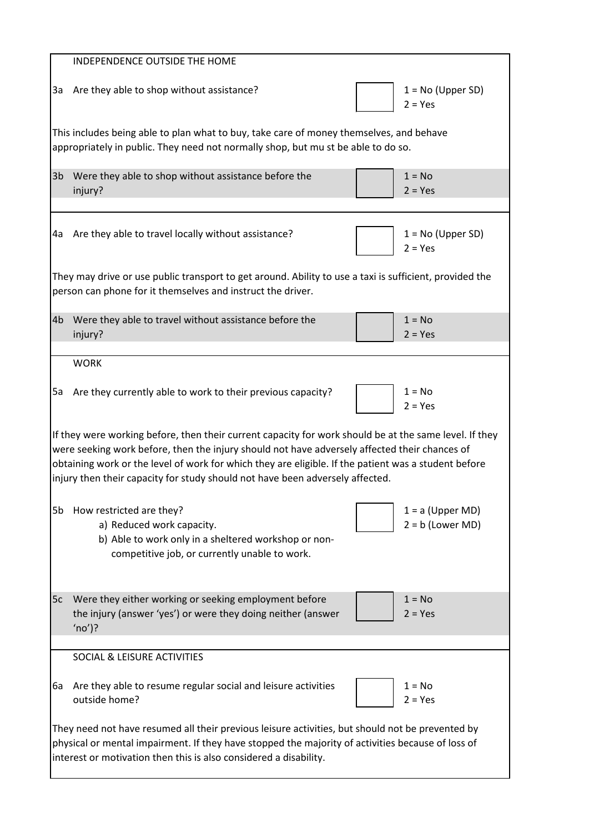|                                                                                                                                                                              | INDEPENDENCE OUTSIDE THE HOME                                                                                                                                                                                                                                                                                                                                                                    |                                          |  |  |
|------------------------------------------------------------------------------------------------------------------------------------------------------------------------------|--------------------------------------------------------------------------------------------------------------------------------------------------------------------------------------------------------------------------------------------------------------------------------------------------------------------------------------------------------------------------------------------------|------------------------------------------|--|--|
| За                                                                                                                                                                           | Are they able to shop without assistance?                                                                                                                                                                                                                                                                                                                                                        | $1 = No (Upper SD)$<br>$2 = Yes$         |  |  |
| This includes being able to plan what to buy, take care of money themselves, and behave<br>appropriately in public. They need not normally shop, but mu st be able to do so. |                                                                                                                                                                                                                                                                                                                                                                                                  |                                          |  |  |
| 3 <sub>b</sub>                                                                                                                                                               | Were they able to shop without assistance before the<br>injury?                                                                                                                                                                                                                                                                                                                                  | $1 = No$<br>$2 = Yes$                    |  |  |
| 4a                                                                                                                                                                           | Are they able to travel locally without assistance?                                                                                                                                                                                                                                                                                                                                              | $1 = No (Upper SD)$<br>$2 = Yes$         |  |  |
|                                                                                                                                                                              | They may drive or use public transport to get around. Ability to use a taxi is sufficient, provided the<br>person can phone for it themselves and instruct the driver.                                                                                                                                                                                                                           |                                          |  |  |
| 4 <sub>b</sub>                                                                                                                                                               | Were they able to travel without assistance before the<br>injury?                                                                                                                                                                                                                                                                                                                                | $1 = No$<br>$2 = Yes$                    |  |  |
|                                                                                                                                                                              | <b>WORK</b>                                                                                                                                                                                                                                                                                                                                                                                      |                                          |  |  |
| 5a                                                                                                                                                                           | Are they currently able to work to their previous capacity?                                                                                                                                                                                                                                                                                                                                      | $1 = No$<br>$2 = Yes$                    |  |  |
|                                                                                                                                                                              | If they were working before, then their current capacity for work should be at the same level. If they<br>were seeking work before, then the injury should not have adversely affected their chances of<br>obtaining work or the level of work for which they are eligible. If the patient was a student before<br>injury then their capacity for study should not have been adversely affected. |                                          |  |  |
| 5b                                                                                                                                                                           | How restricted are they?<br>a) Reduced work capacity.<br>b) Able to work only in a sheltered workshop or non-<br>competitive job, or currently unable to work.                                                                                                                                                                                                                                   | $1 = a$ (Upper MD)<br>$2 = b$ (Lower MD) |  |  |
| 5c                                                                                                                                                                           | Were they either working or seeking employment before<br>the injury (answer 'yes') or were they doing neither (answer<br>$'(no')$ ?                                                                                                                                                                                                                                                              | $1 = No$<br>$2 = Yes$                    |  |  |
|                                                                                                                                                                              | <b>SOCIAL &amp; LEISURE ACTIVITIES</b>                                                                                                                                                                                                                                                                                                                                                           |                                          |  |  |
| 6а                                                                                                                                                                           | Are they able to resume regular social and leisure activities<br>outside home?                                                                                                                                                                                                                                                                                                                   | $1 = No$<br>$2 = Yes$                    |  |  |
|                                                                                                                                                                              | They need not have resumed all their previous leisure activities, but should not be prevented by<br>physical or mental impairment. If they have stopped the majority of activities because of loss of<br>interest or motivation then this is also considered a disability.                                                                                                                       |                                          |  |  |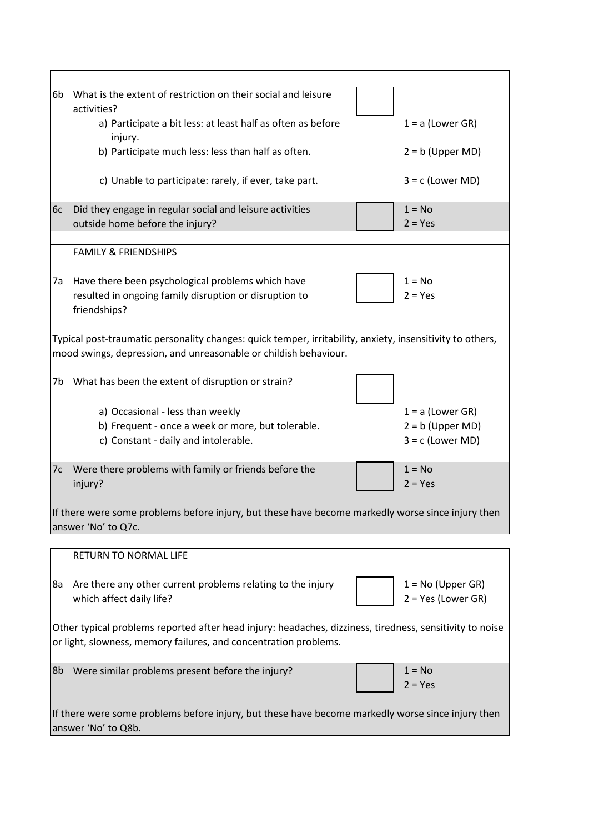| What is the extent of restriction on their social and leisure<br>6b                                                                                                           |                      |
|-------------------------------------------------------------------------------------------------------------------------------------------------------------------------------|----------------------|
| activities?                                                                                                                                                                   |                      |
| a) Participate a bit less: at least half as often as before<br>injury.                                                                                                        | $1 = a$ (Lower GR)   |
| b) Participate much less: less than half as often.                                                                                                                            | $2 = b$ (Upper MD)   |
| c) Unable to participate: rarely, if ever, take part.                                                                                                                         | $3 = c$ (Lower MD)   |
| $1 = No$<br>Did they engage in regular social and leisure activities<br>6c                                                                                                    |                      |
| outside home before the injury?<br>$2 = Yes$                                                                                                                                  |                      |
| <b>FAMILY &amp; FRIENDSHIPS</b>                                                                                                                                               |                      |
| Have there been psychological problems which have<br>$1 = No$<br>7a                                                                                                           |                      |
| resulted in ongoing family disruption or disruption to<br>$2 = Yes$<br>friendships?                                                                                           |                      |
| Typical post-traumatic personality changes: quick temper, irritability, anxiety, insensitivity to others,<br>mood swings, depression, and unreasonable or childish behaviour. |                      |
| 7b What has been the extent of disruption or strain?                                                                                                                          |                      |
| a) Occasional - less than weekly                                                                                                                                              | $1 = a$ (Lower GR)   |
| b) Frequent - once a week or more, but tolerable.                                                                                                                             | $2 = b$ (Upper MD)   |
| c) Constant - daily and intolerable.                                                                                                                                          | $3 = c$ (Lower MD)   |
| $1 = No$<br>Were there problems with family or friends before the<br>7c<br>injury?<br>$2 = Yes$                                                                               |                      |
| If there were some problems before injury, but these have become markedly worse since injury then<br>answer 'No' to Q7c.                                                      |                      |
|                                                                                                                                                                               |                      |
| <b>RETURN TO NORMAL LIFE</b>                                                                                                                                                  |                      |
| Are there any other current problems relating to the injury<br>8a                                                                                                             | $1 = No$ (Upper GR)  |
| which affect daily life?                                                                                                                                                      | $2 = Yes (Lower GR)$ |
| Other typical problems reported after head injury: headaches, dizziness, tiredness, sensitivity to noise                                                                      |                      |
| or light, slowness, memory failures, and concentration problems.                                                                                                              |                      |
| Were similar problems present before the injury?<br>$1 = No$<br>8b                                                                                                            |                      |
| $2 = Yes$                                                                                                                                                                     |                      |
| If there were some problems before injury, but these have become markedly worse since injury then<br>answer 'No' to Q8b.                                                      |                      |